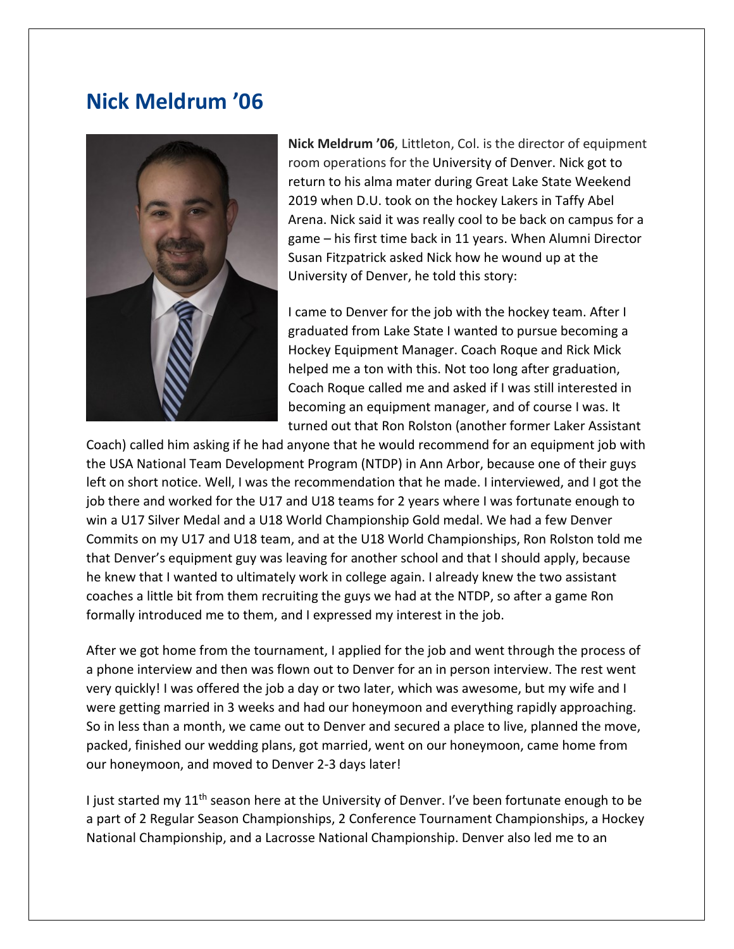## **Nick Meldrum '06**



**Nick Meldrum '06**, Littleton, Col. is the director of equipment room operations for the University of Denver. Nick got to return to his alma mater during Great Lake State Weekend 2019 when D.U. took on the hockey Lakers in Taffy Abel Arena. Nick said it was really cool to be back on campus for a game – his first time back in 11 years. When Alumni Director Susan Fitzpatrick asked Nick how he wound up at the University of Denver, he told this story:

I came to Denver for the job with the hockey team. After I graduated from Lake State I wanted to pursue becoming a Hockey Equipment Manager. Coach Roque and Rick Mick helped me a ton with this. Not too long after graduation, Coach Roque called me and asked if I was still interested in becoming an equipment manager, and of course I was. It turned out that Ron Rolston (another former Laker Assistant

Coach) called him asking if he had anyone that he would recommend for an equipment job with the USA National Team Development Program (NTDP) in Ann Arbor, because one of their guys left on short notice. Well, I was the recommendation that he made. I interviewed, and I got the job there and worked for the U17 and U18 teams for 2 years where I was fortunate enough to win a U17 Silver Medal and a U18 World Championship Gold medal. We had a few Denver Commits on my U17 and U18 team, and at the U18 World Championships, Ron Rolston told me that Denver's equipment guy was leaving for another school and that I should apply, because he knew that I wanted to ultimately work in college again. I already knew the two assistant coaches a little bit from them recruiting the guys we had at the NTDP, so after a game Ron formally introduced me to them, and I expressed my interest in the job.

After we got home from the tournament, I applied for the job and went through the process of a phone interview and then was flown out to Denver for an in person interview. The rest went very quickly! I was offered the job a day or two later, which was awesome, but my wife and I were getting married in 3 weeks and had our honeymoon and everything rapidly approaching. So in less than a month, we came out to Denver and secured a place to live, planned the move, packed, finished our wedding plans, got married, went on our honeymoon, came home from our honeymoon, and moved to Denver 2-3 days later!

I just started my 11<sup>th</sup> season here at the University of Denver. I've been fortunate enough to be a part of 2 Regular Season Championships, 2 Conference Tournament Championships, a Hockey National Championship, and a Lacrosse National Championship. Denver also led me to an